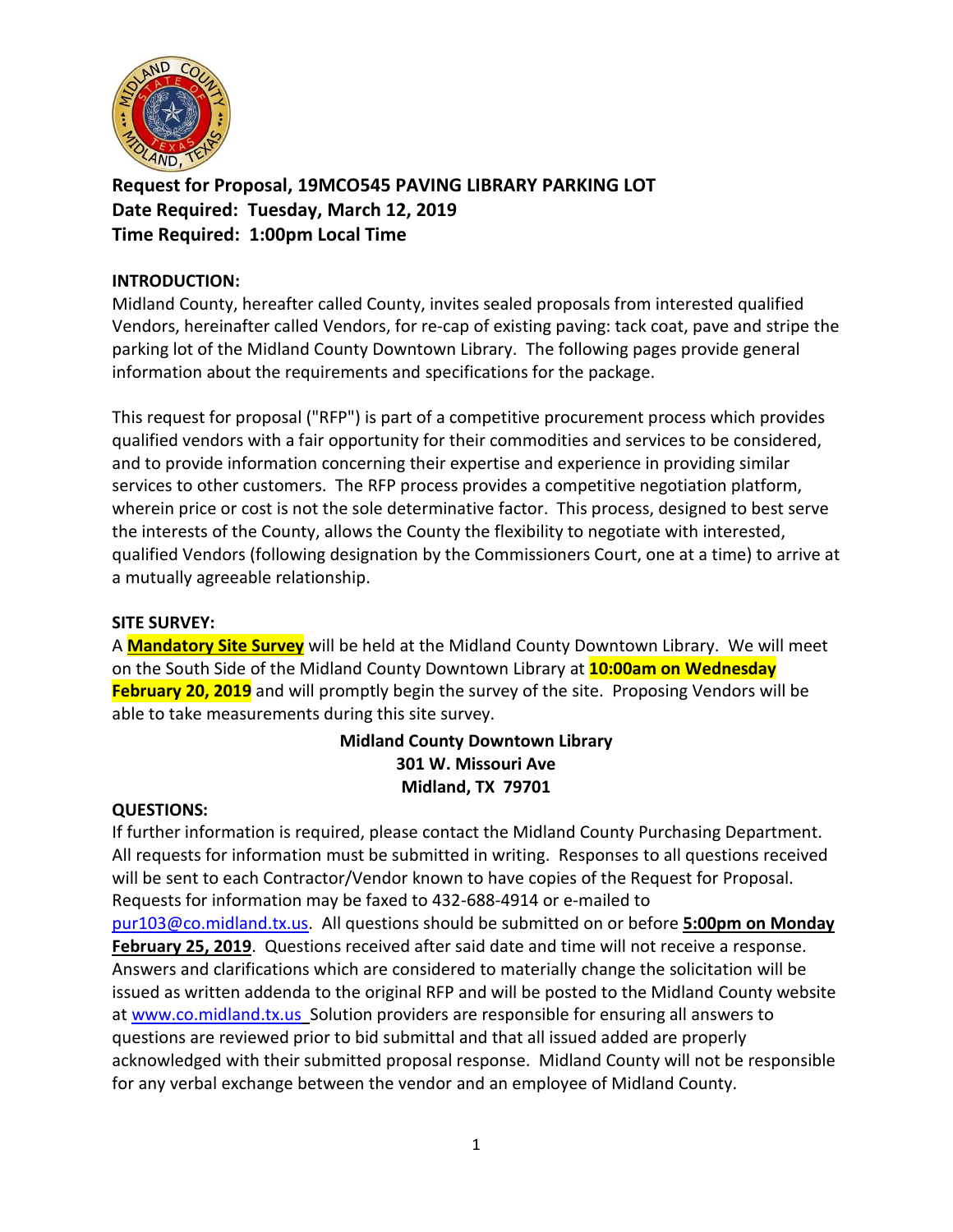

**Request for Proposal, 19MCO545 PAVING LIBRARY PARKING LOT Date Required: Tuesday, March 12, 2019 Time Required: 1:00pm Local Time**

## **INTRODUCTION:**

Midland County, hereafter called County, invites sealed proposals from interested qualified Vendors, hereinafter called Vendors, for re-cap of existing paving: tack coat, pave and stripe the parking lot of the Midland County Downtown Library. The following pages provide general information about the requirements and specifications for the package.

This request for proposal ("RFP") is part of a competitive procurement process which provides qualified vendors with a fair opportunity for their commodities and services to be considered, and to provide information concerning their expertise and experience in providing similar services to other customers. The RFP process provides a competitive negotiation platform, wherein price or cost is not the sole determinative factor. This process, designed to best serve the interests of the County, allows the County the flexibility to negotiate with interested, qualified Vendors (following designation by the Commissioners Court, one at a time) to arrive at a mutually agreeable relationship.

#### **SITE SURVEY:**

A **Mandatory Site Survey** will be held at the Midland County Downtown Library. We will meet on the South Side of the Midland County Downtown Library at **10:00am on Wednesday February 20, 2019** and will promptly begin the survey of the site. Proposing Vendors will be able to take measurements during this site survey.

# **Midland County Downtown Library 301 W. Missouri Ave Midland, TX 79701**

#### **QUESTIONS:**

If further information is required, please contact the Midland County Purchasing Department. All requests for information must be submitted in writing. Responses to all questions received will be sent to each Contractor/Vendor known to have copies of the Request for Proposal. Requests for information may be faxed to 432-688-4914 or e-mailed to [pur103@co.midland.tx.us.](mailto:pur103@co.midland.tx.us) All questions should be submitted on or before **5:00pm on Monday February 25, 2019**. Questions received after said date and time will not receive a response. Answers and clarifications which are considered to materially change the solicitation will be issued as written addenda to the original RFP and will be posted to the Midland County website at [www.co.midland.tx.us](http://www.co.midland.tx.us/) Solution providers are responsible for ensuring all answers to questions are reviewed prior to bid submittal and that all issued added are properly acknowledged with their submitted proposal response. Midland County will not be responsible for any verbal exchange between the vendor and an employee of Midland County.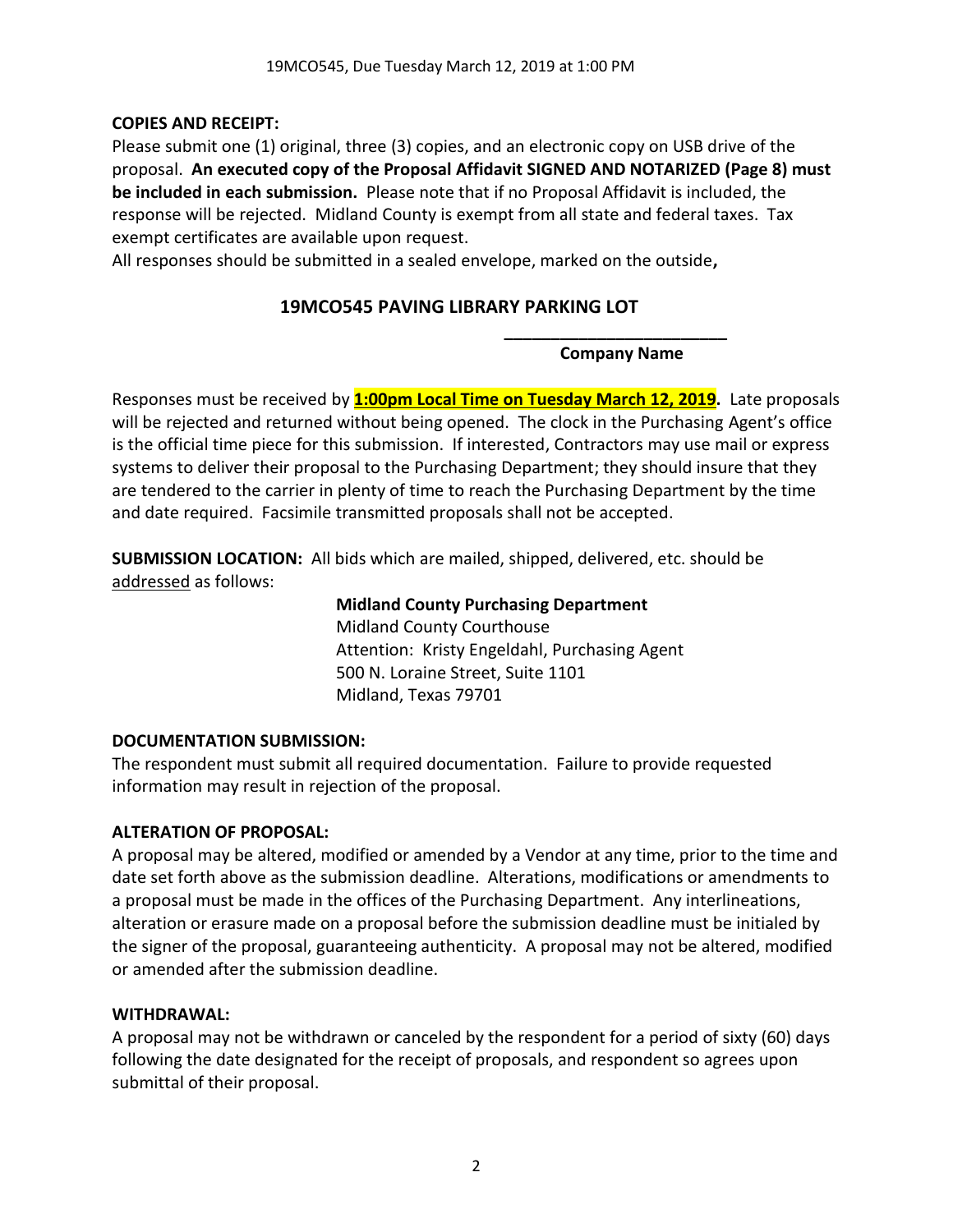# **COPIES AND RECEIPT:**

Please submit one (1) original, three (3) copies, and an electronic copy on USB drive of the proposal. **An executed copy of the Proposal Affidavit SIGNED AND NOTARIZED (Page 8) must be included in each submission.** Please note that if no Proposal Affidavit is included, the response will be rejected. Midland County is exempt from all state and federal taxes. Tax exempt certificates are available upon request.

All responses should be submitted in a sealed envelope, marked on the outside**,** 

# **19MCO545 PAVING LIBRARY PARKING LOT**

**\_\_\_\_\_\_\_\_\_\_\_\_\_\_\_\_\_\_\_\_\_\_\_\_ Company Name**

Responses must be received by **1:00pm Local Time on Tuesday March 12, 2019.** Late proposals will be rejected and returned without being opened. The clock in the Purchasing Agent's office is the official time piece for this submission. If interested, Contractors may use mail or express systems to deliver their proposal to the Purchasing Department; they should insure that they are tendered to the carrier in plenty of time to reach the Purchasing Department by the time and date required. Facsimile transmitted proposals shall not be accepted.

**SUBMISSION LOCATION:** All bids which are mailed, shipped, delivered, etc. should be addressed as follows:

# **Midland County Purchasing Department**

Midland County Courthouse Attention: Kristy Engeldahl, Purchasing Agent 500 N. Loraine Street, Suite 1101 Midland, Texas 79701

# **DOCUMENTATION SUBMISSION:**

The respondent must submit all required documentation. Failure to provide requested information may result in rejection of the proposal.

# **ALTERATION OF PROPOSAL:**

A proposal may be altered, modified or amended by a Vendor at any time, prior to the time and date set forth above as the submission deadline. Alterations, modifications or amendments to a proposal must be made in the offices of the Purchasing Department. Any interlineations, alteration or erasure made on a proposal before the submission deadline must be initialed by the signer of the proposal, guaranteeing authenticity. A proposal may not be altered, modified or amended after the submission deadline.

## **WITHDRAWAL:**

A proposal may not be withdrawn or canceled by the respondent for a period of sixty (60) days following the date designated for the receipt of proposals, and respondent so agrees upon submittal of their proposal.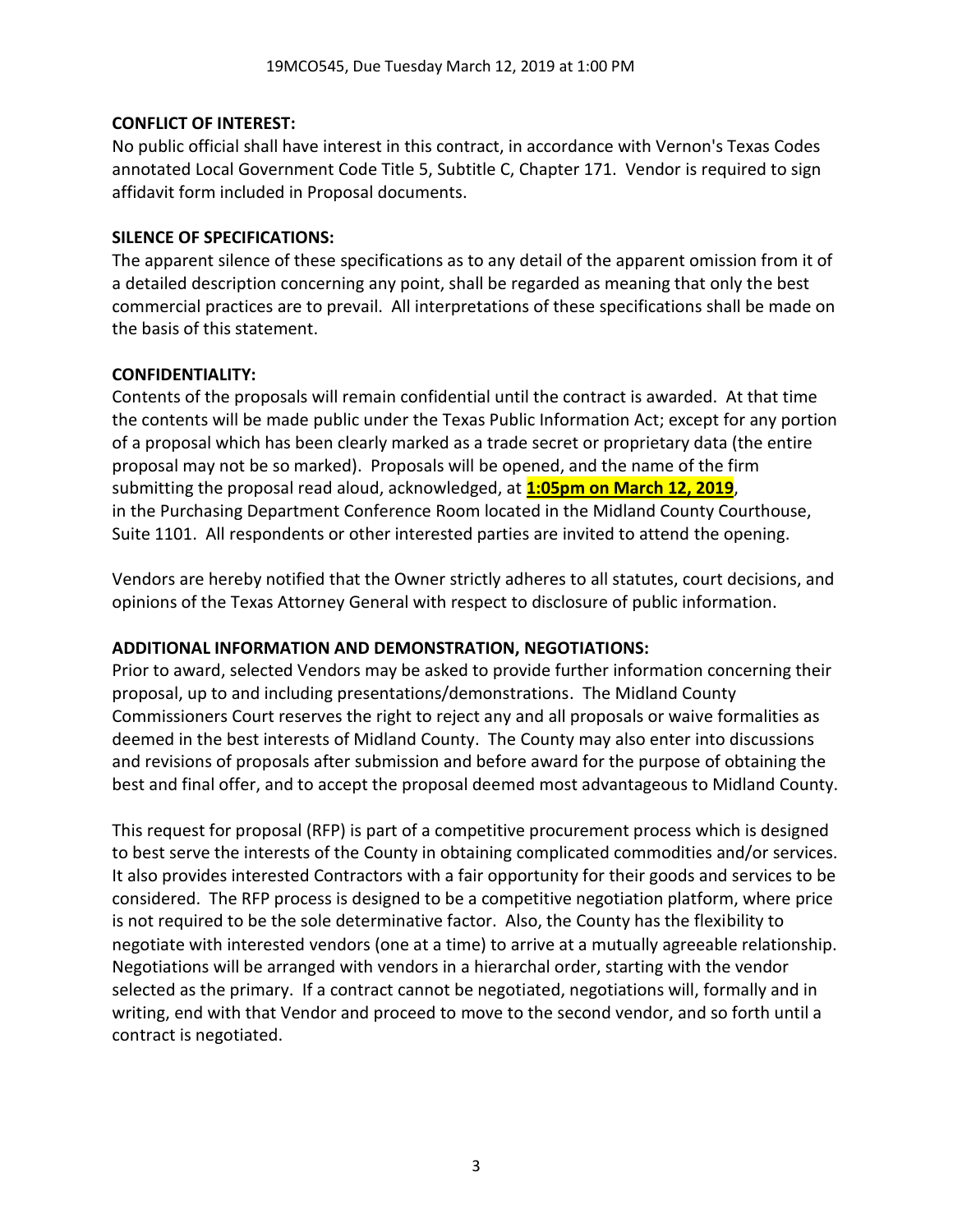## **CONFLICT OF INTEREST:**

No public official shall have interest in this contract, in accordance with Vernon's Texas Codes annotated Local Government Code Title 5, Subtitle C, Chapter 171. Vendor is required to sign affidavit form included in Proposal documents.

## **SILENCE OF SPECIFICATIONS:**

The apparent silence of these specifications as to any detail of the apparent omission from it of a detailed description concerning any point, shall be regarded as meaning that only the best commercial practices are to prevail. All interpretations of these specifications shall be made on the basis of this statement.

## **CONFIDENTIALITY:**

Contents of the proposals will remain confidential until the contract is awarded. At that time the contents will be made public under the Texas Public Information Act; except for any portion of a proposal which has been clearly marked as a trade secret or proprietary data (the entire proposal may not be so marked). Proposals will be opened, and the name of the firm submitting the proposal read aloud, acknowledged, at **1:05pm on March 12, 2019**, in the Purchasing Department Conference Room located in the Midland County Courthouse, Suite 1101. All respondents or other interested parties are invited to attend the opening.

Vendors are hereby notified that the Owner strictly adheres to all statutes, court decisions, and opinions of the Texas Attorney General with respect to disclosure of public information.

## **ADDITIONAL INFORMATION AND DEMONSTRATION, NEGOTIATIONS:**

Prior to award, selected Vendors may be asked to provide further information concerning their proposal, up to and including presentations/demonstrations. The Midland County Commissioners Court reserves the right to reject any and all proposals or waive formalities as deemed in the best interests of Midland County. The County may also enter into discussions and revisions of proposals after submission and before award for the purpose of obtaining the best and final offer, and to accept the proposal deemed most advantageous to Midland County.

This request for proposal (RFP) is part of a competitive procurement process which is designed to best serve the interests of the County in obtaining complicated commodities and/or services. It also provides interested Contractors with a fair opportunity for their goods and services to be considered. The RFP process is designed to be a competitive negotiation platform, where price is not required to be the sole determinative factor. Also, the County has the flexibility to negotiate with interested vendors (one at a time) to arrive at a mutually agreeable relationship. Negotiations will be arranged with vendors in a hierarchal order, starting with the vendor selected as the primary. If a contract cannot be negotiated, negotiations will, formally and in writing, end with that Vendor and proceed to move to the second vendor, and so forth until a contract is negotiated.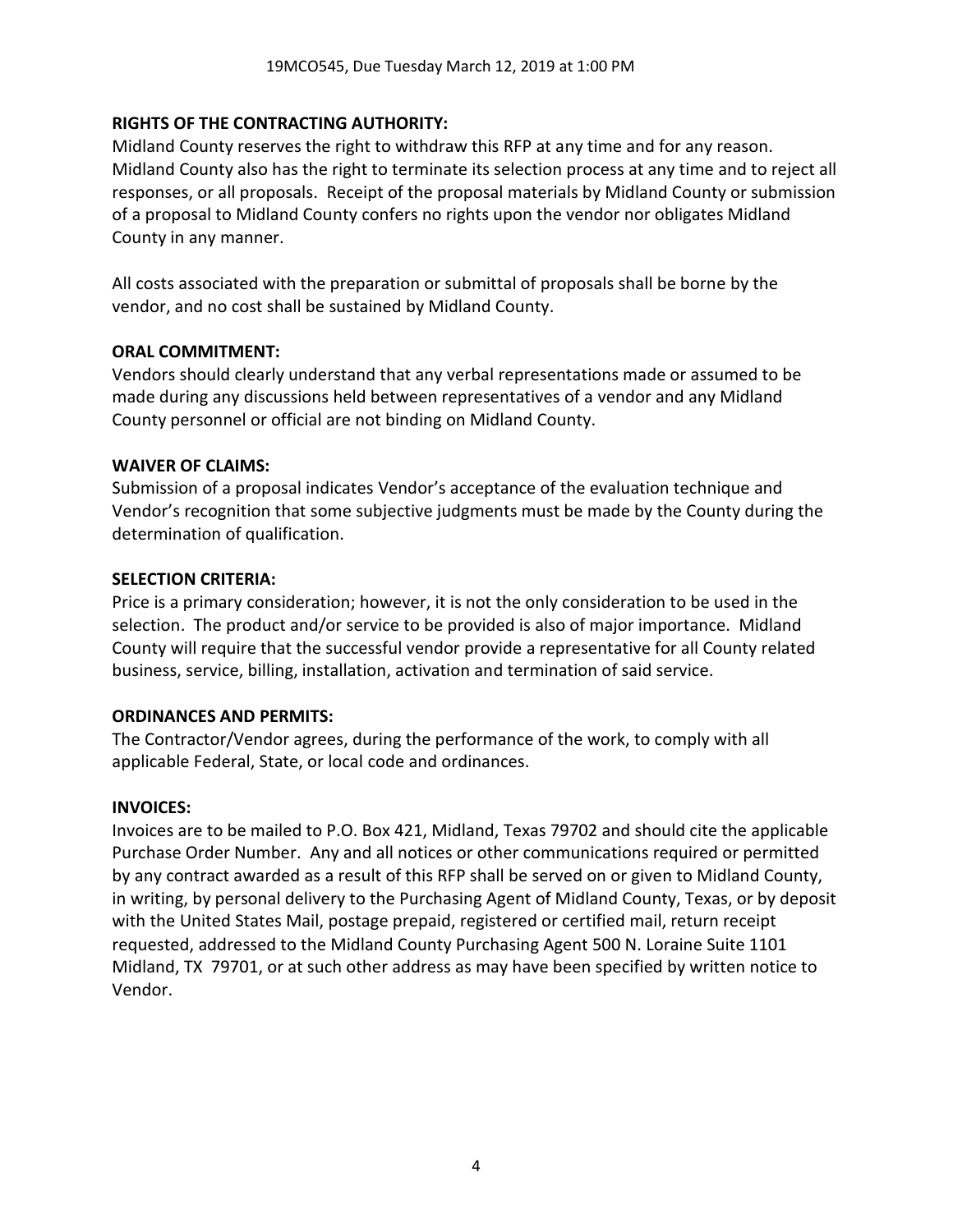## **RIGHTS OF THE CONTRACTING AUTHORITY:**

Midland County reserves the right to withdraw this RFP at any time and for any reason. Midland County also has the right to terminate its selection process at any time and to reject all responses, or all proposals. Receipt of the proposal materials by Midland County or submission of a proposal to Midland County confers no rights upon the vendor nor obligates Midland County in any manner.

All costs associated with the preparation or submittal of proposals shall be borne by the vendor, and no cost shall be sustained by Midland County.

## **ORAL COMMITMENT:**

Vendors should clearly understand that any verbal representations made or assumed to be made during any discussions held between representatives of a vendor and any Midland County personnel or official are not binding on Midland County.

## **WAIVER OF CLAIMS:**

Submission of a proposal indicates Vendor's acceptance of the evaluation technique and Vendor's recognition that some subjective judgments must be made by the County during the determination of qualification.

#### **SELECTION CRITERIA:**

Price is a primary consideration; however, it is not the only consideration to be used in the selection. The product and/or service to be provided is also of major importance. Midland County will require that the successful vendor provide a representative for all County related business, service, billing, installation, activation and termination of said service.

## **ORDINANCES AND PERMITS:**

The Contractor/Vendor agrees, during the performance of the work, to comply with all applicable Federal, State, or local code and ordinances.

## **INVOICES:**

Invoices are to be mailed to P.O. Box 421, Midland, Texas 79702 and should cite the applicable Purchase Order Number. Any and all notices or other communications required or permitted by any contract awarded as a result of this RFP shall be served on or given to Midland County, in writing, by personal delivery to the Purchasing Agent of Midland County, Texas, or by deposit with the United States Mail, postage prepaid, registered or certified mail, return receipt requested, addressed to the Midland County Purchasing Agent 500 N. Loraine Suite 1101 Midland, TX 79701, or at such other address as may have been specified by written notice to Vendor.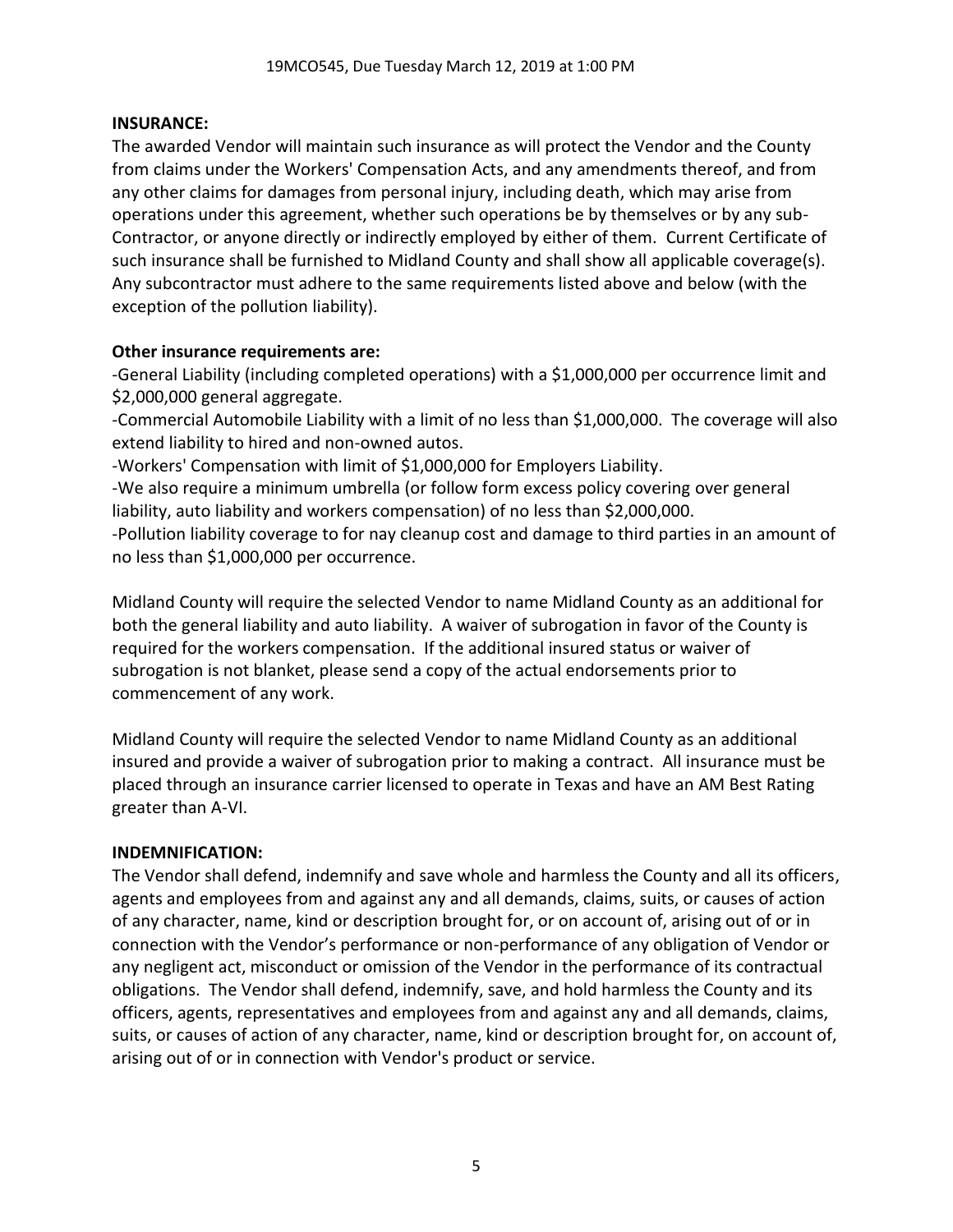## **INSURANCE:**

The awarded Vendor will maintain such insurance as will protect the Vendor and the County from claims under the Workers' Compensation Acts, and any amendments thereof, and from any other claims for damages from personal injury, including death, which may arise from operations under this agreement, whether such operations be by themselves or by any sub-Contractor, or anyone directly or indirectly employed by either of them. Current Certificate of such insurance shall be furnished to Midland County and shall show all applicable coverage(s). Any subcontractor must adhere to the same requirements listed above and below (with the exception of the pollution liability).

## **Other insurance requirements are:**

-General Liability (including completed operations) with a \$1,000,000 per occurrence limit and \$2,000,000 general aggregate.

-Commercial Automobile Liability with a limit of no less than \$1,000,000. The coverage will also extend liability to hired and non-owned autos.

-Workers' Compensation with limit of \$1,000,000 for Employers Liability.

-We also require a minimum umbrella (or follow form excess policy covering over general liability, auto liability and workers compensation) of no less than \$2,000,000.

-Pollution liability coverage to for nay cleanup cost and damage to third parties in an amount of no less than \$1,000,000 per occurrence.

Midland County will require the selected Vendor to name Midland County as an additional for both the general liability and auto liability. A waiver of subrogation in favor of the County is required for the workers compensation. If the additional insured status or waiver of subrogation is not blanket, please send a copy of the actual endorsements prior to commencement of any work.

Midland County will require the selected Vendor to name Midland County as an additional insured and provide a waiver of subrogation prior to making a contract. All insurance must be placed through an insurance carrier licensed to operate in Texas and have an AM Best Rating greater than A-VI.

## **INDEMNIFICATION:**

The Vendor shall defend, indemnify and save whole and harmless the County and all its officers, agents and employees from and against any and all demands, claims, suits, or causes of action of any character, name, kind or description brought for, or on account of, arising out of or in connection with the Vendor's performance or non-performance of any obligation of Vendor or any negligent act, misconduct or omission of the Vendor in the performance of its contractual obligations. The Vendor shall defend, indemnify, save, and hold harmless the County and its officers, agents, representatives and employees from and against any and all demands, claims, suits, or causes of action of any character, name, kind or description brought for, on account of, arising out of or in connection with Vendor's product or service.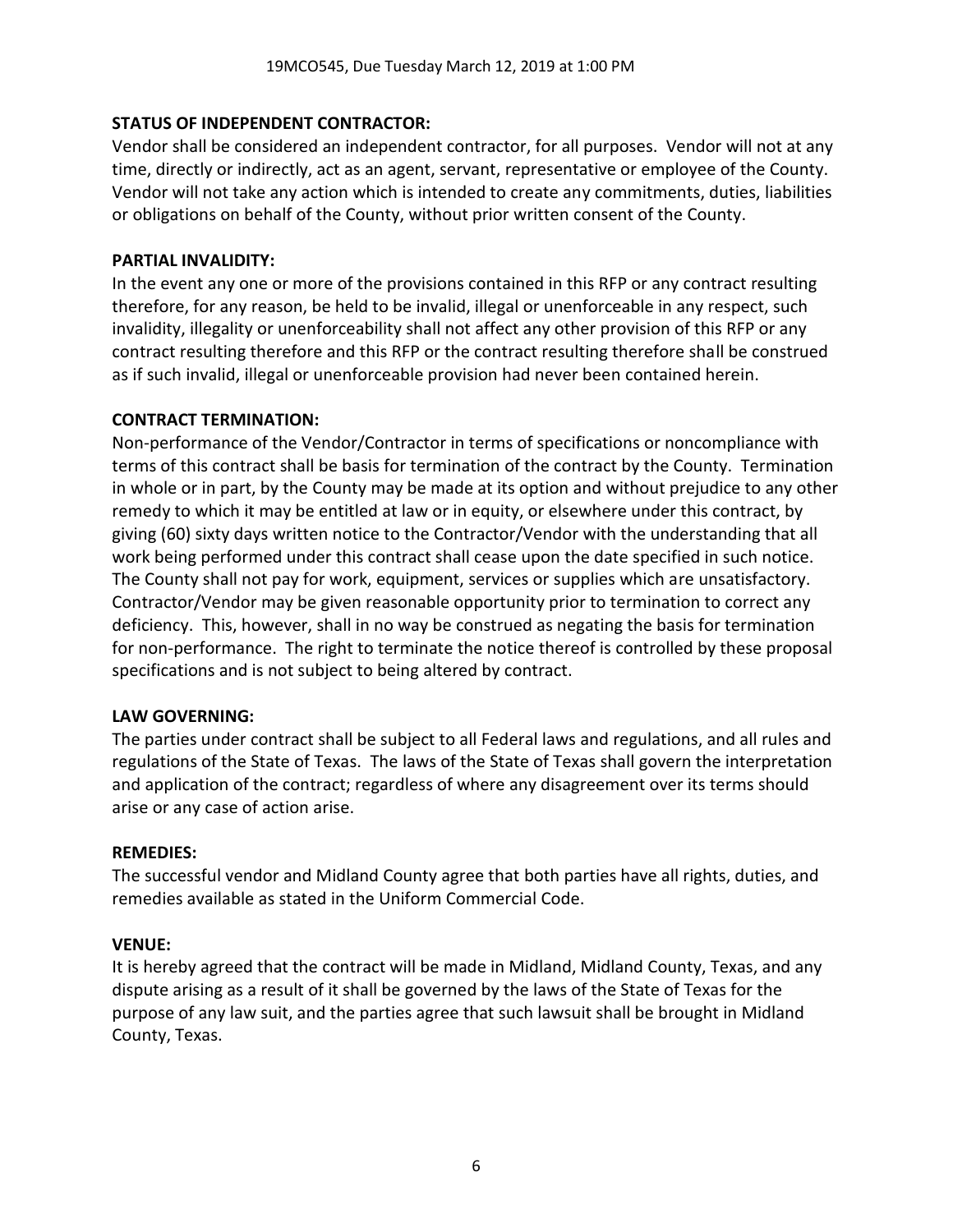## **STATUS OF INDEPENDENT CONTRACTOR:**

Vendor shall be considered an independent contractor, for all purposes. Vendor will not at any time, directly or indirectly, act as an agent, servant, representative or employee of the County. Vendor will not take any action which is intended to create any commitments, duties, liabilities or obligations on behalf of the County, without prior written consent of the County.

## **PARTIAL INVALIDITY:**

In the event any one or more of the provisions contained in this RFP or any contract resulting therefore, for any reason, be held to be invalid, illegal or unenforceable in any respect, such invalidity, illegality or unenforceability shall not affect any other provision of this RFP or any contract resulting therefore and this RFP or the contract resulting therefore shall be construed as if such invalid, illegal or unenforceable provision had never been contained herein.

## **CONTRACT TERMINATION:**

Non-performance of the Vendor/Contractor in terms of specifications or noncompliance with terms of this contract shall be basis for termination of the contract by the County. Termination in whole or in part, by the County may be made at its option and without prejudice to any other remedy to which it may be entitled at law or in equity, or elsewhere under this contract, by giving (60) sixty days written notice to the Contractor/Vendor with the understanding that all work being performed under this contract shall cease upon the date specified in such notice. The County shall not pay for work, equipment, services or supplies which are unsatisfactory. Contractor/Vendor may be given reasonable opportunity prior to termination to correct any deficiency. This, however, shall in no way be construed as negating the basis for termination for non-performance. The right to terminate the notice thereof is controlled by these proposal specifications and is not subject to being altered by contract.

## **LAW GOVERNING:**

The parties under contract shall be subject to all Federal laws and regulations, and all rules and regulations of the State of Texas. The laws of the State of Texas shall govern the interpretation and application of the contract; regardless of where any disagreement over its terms should arise or any case of action arise.

## **REMEDIES:**

The successful vendor and Midland County agree that both parties have all rights, duties, and remedies available as stated in the Uniform Commercial Code.

## **VENUE:**

It is hereby agreed that the contract will be made in Midland, Midland County, Texas, and any dispute arising as a result of it shall be governed by the laws of the State of Texas for the purpose of any law suit, and the parties agree that such lawsuit shall be brought in Midland County, Texas.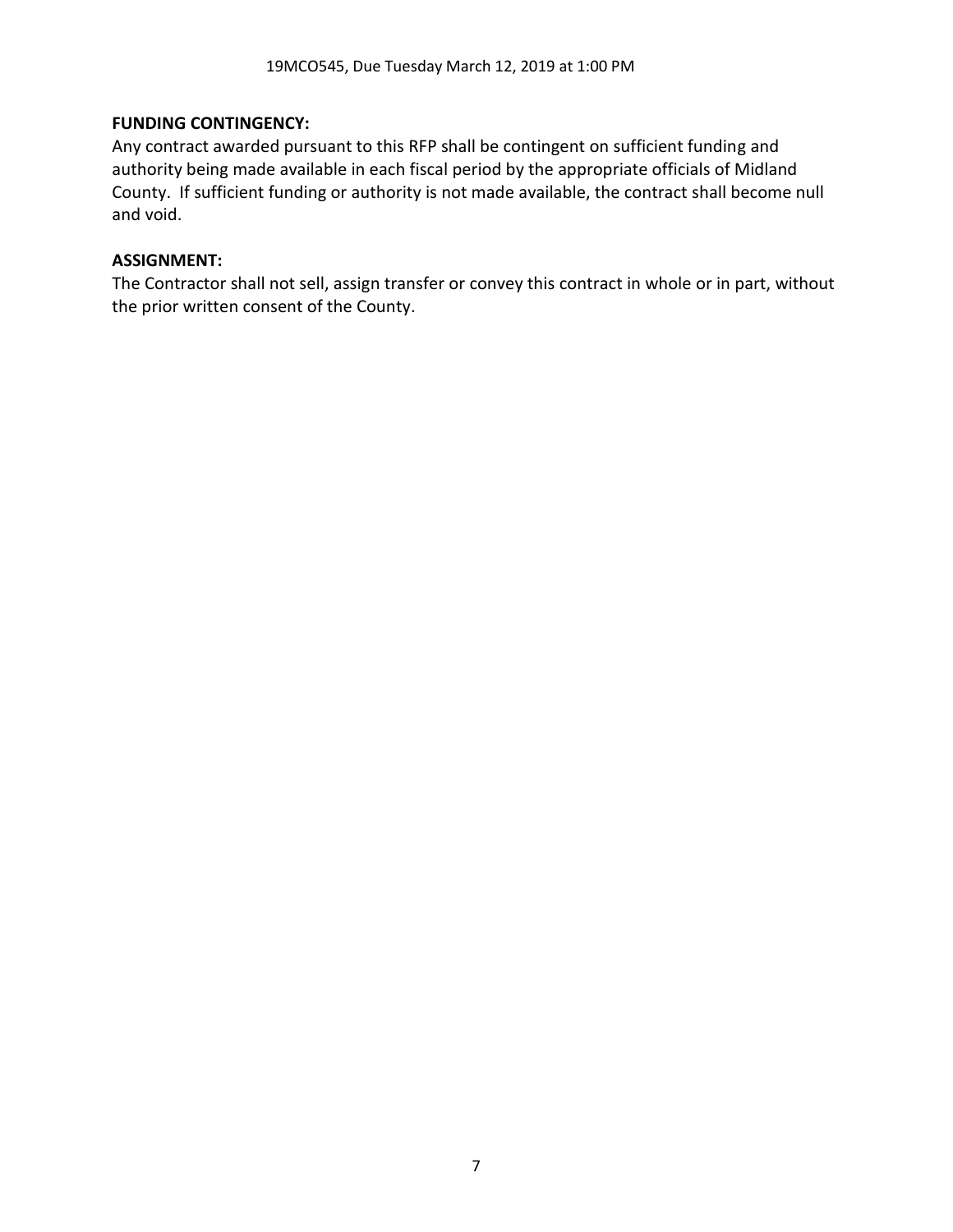## **FUNDING CONTINGENCY:**

Any contract awarded pursuant to this RFP shall be contingent on sufficient funding and authority being made available in each fiscal period by the appropriate officials of Midland County. If sufficient funding or authority is not made available, the contract shall become null and void.

## **ASSIGNMENT:**

The Contractor shall not sell, assign transfer or convey this contract in whole or in part, without the prior written consent of the County.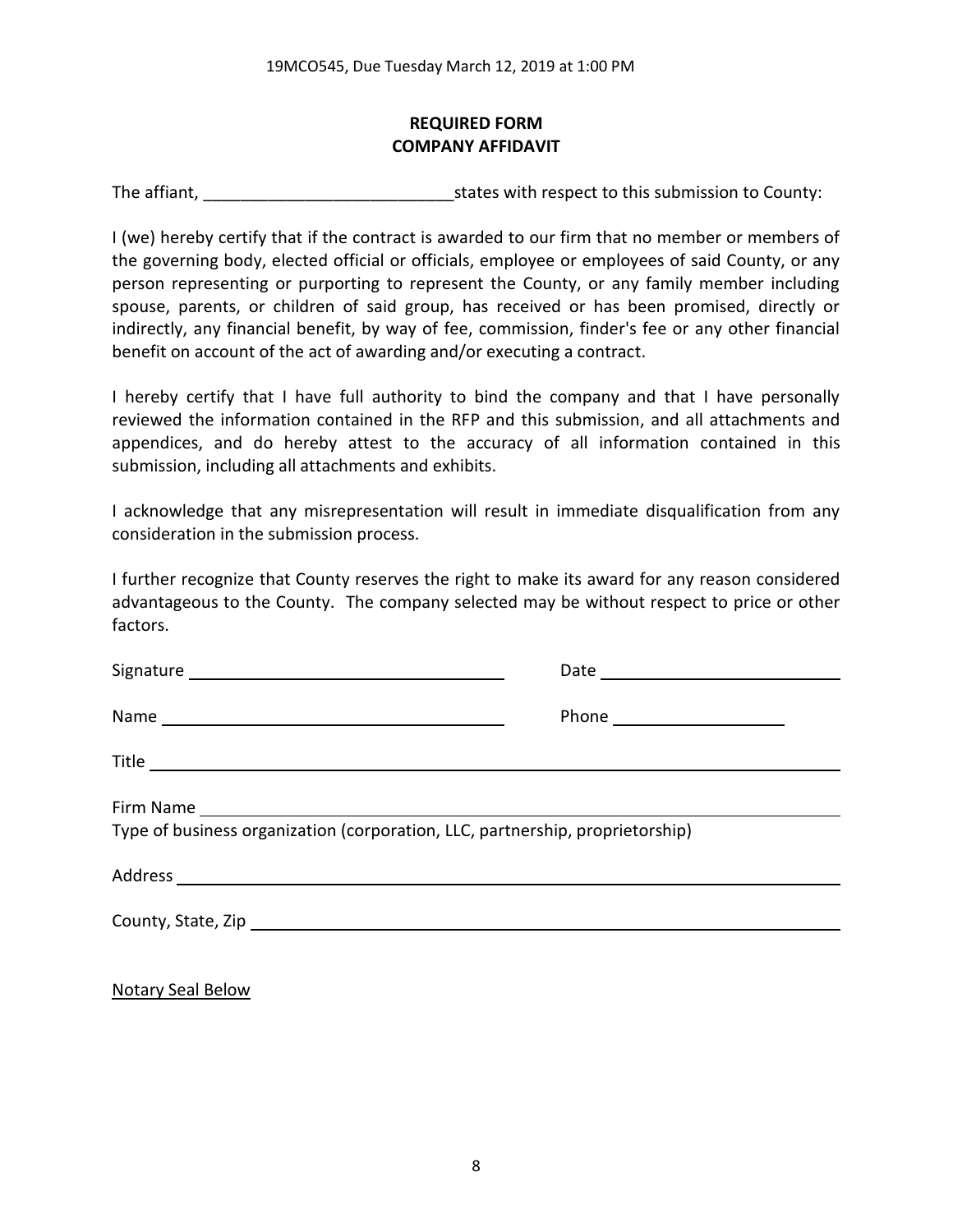## **REQUIRED FORM COMPANY AFFIDAVIT**

The affiant, The affiant, The affiant,  $\frac{1}{2}$  is tates with respect to this submission to County:

I (we) hereby certify that if the contract is awarded to our firm that no member or members of the governing body, elected official or officials, employee or employees of said County, or any person representing or purporting to represent the County, or any family member including spouse, parents, or children of said group, has received or has been promised, directly or indirectly, any financial benefit, by way of fee, commission, finder's fee or any other financial benefit on account of the act of awarding and/or executing a contract.

I hereby certify that I have full authority to bind the company and that I have personally reviewed the information contained in the RFP and this submission, and all attachments and appendices, and do hereby attest to the accuracy of all information contained in this submission, including all attachments and exhibits.

I acknowledge that any misrepresentation will result in immediate disqualification from any consideration in the submission process.

I further recognize that County reserves the right to make its award for any reason considered advantageous to the County. The company selected may be without respect to price or other factors.

| Type of business organization (corporation, LLC, partnership, proprietorship) |  |
|-------------------------------------------------------------------------------|--|

Notary Seal Below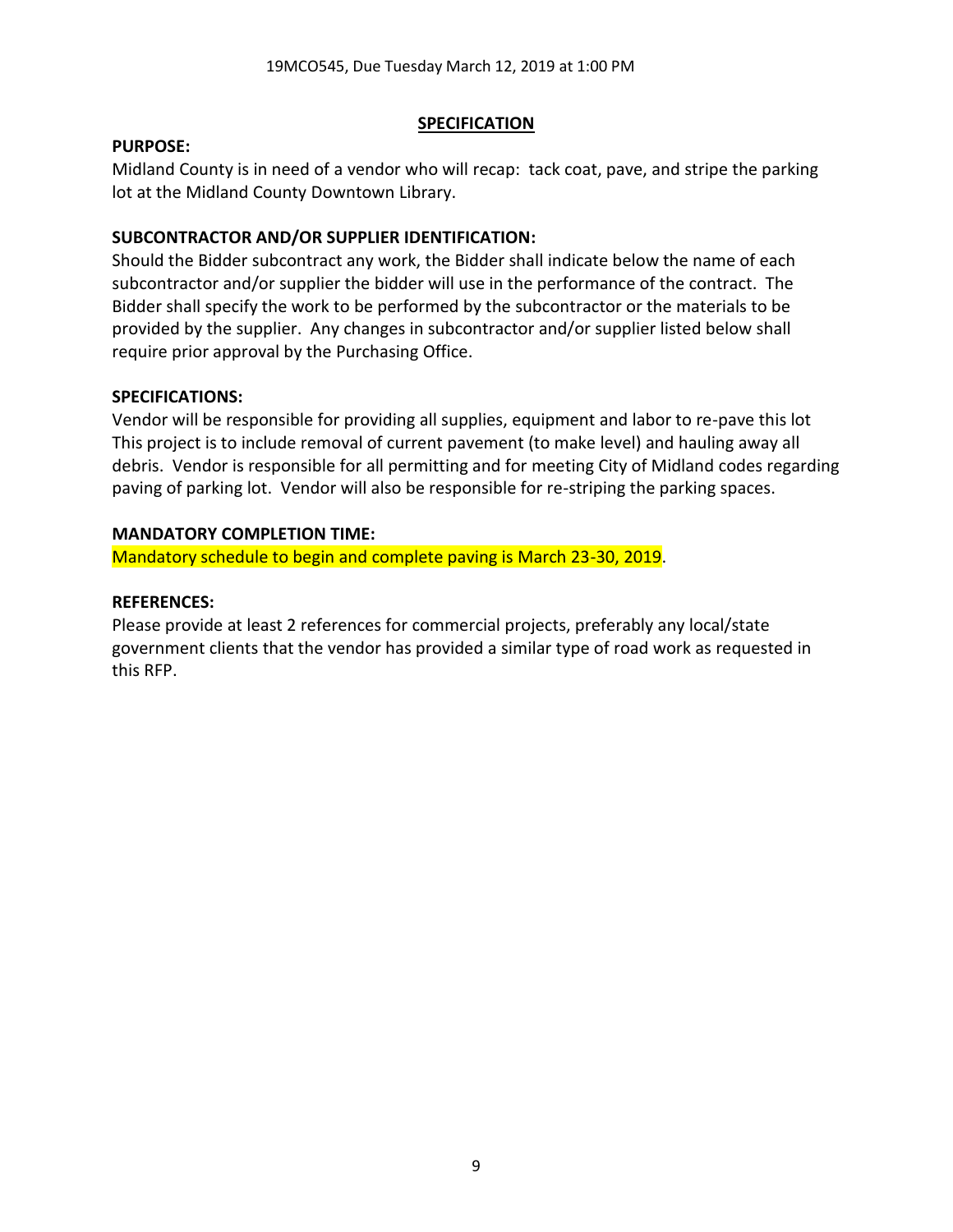## **SPECIFICATION**

#### **PURPOSE:**

Midland County is in need of a vendor who will recap: tack coat, pave, and stripe the parking lot at the Midland County Downtown Library.

## **SUBCONTRACTOR AND/OR SUPPLIER IDENTIFICATION:**

Should the Bidder subcontract any work, the Bidder shall indicate below the name of each subcontractor and/or supplier the bidder will use in the performance of the contract. The Bidder shall specify the work to be performed by the subcontractor or the materials to be provided by the supplier. Any changes in subcontractor and/or supplier listed below shall require prior approval by the Purchasing Office.

## **SPECIFICATIONS:**

Vendor will be responsible for providing all supplies, equipment and labor to re-pave this lot This project is to include removal of current pavement (to make level) and hauling away all debris. Vendor is responsible for all permitting and for meeting City of Midland codes regarding paving of parking lot. Vendor will also be responsible for re-striping the parking spaces.

## **MANDATORY COMPLETION TIME:**

Mandatory schedule to begin and complete paving is March 23-30, 2019.

## **REFERENCES:**

Please provide at least 2 references for commercial projects, preferably any local/state government clients that the vendor has provided a similar type of road work as requested in this RFP.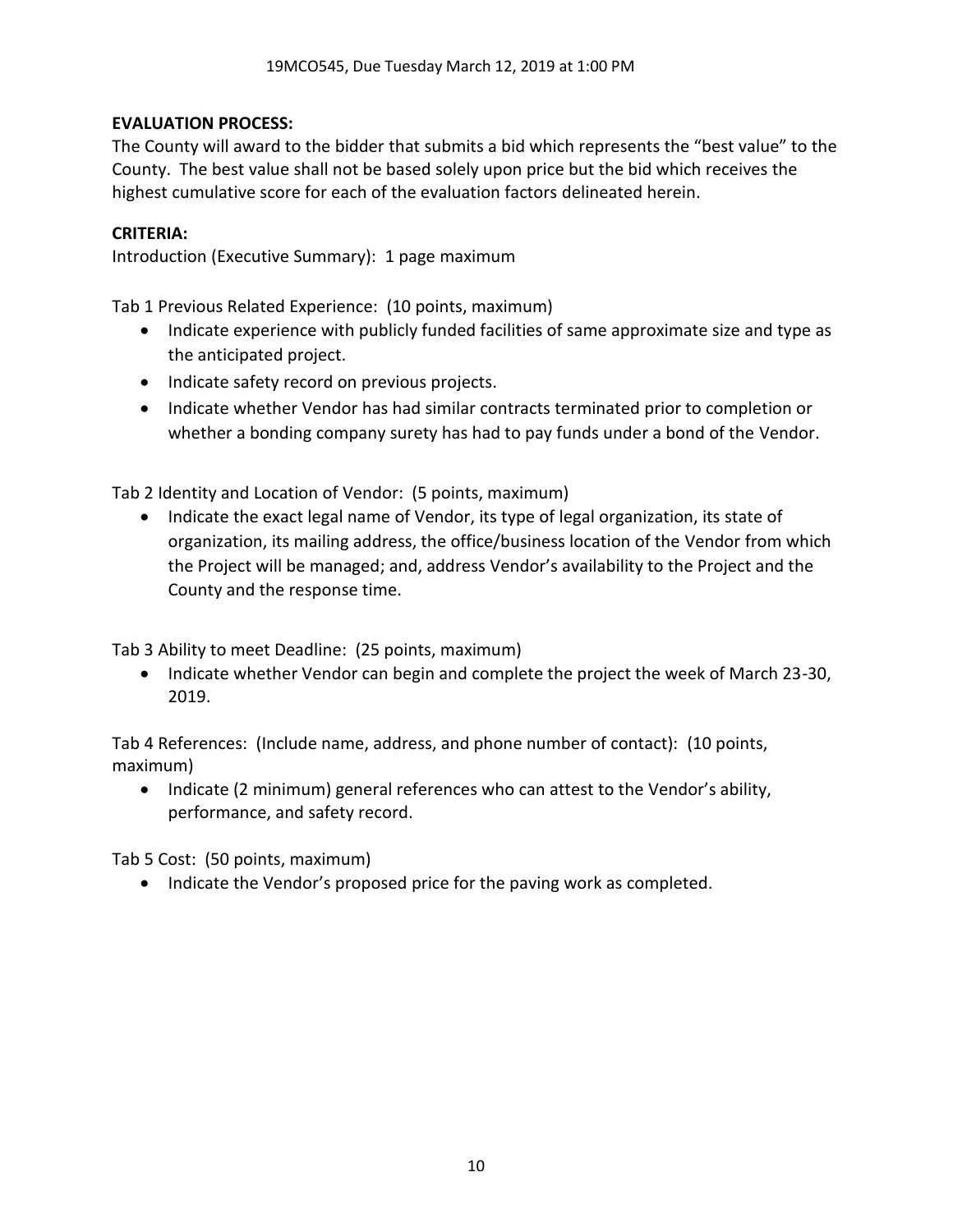# **EVALUATION PROCESS:**

The County will award to the bidder that submits a bid which represents the "best value" to the County. The best value shall not be based solely upon price but the bid which receives the highest cumulative score for each of the evaluation factors delineated herein.

# **CRITERIA:**

Introduction (Executive Summary): 1 page maximum

Tab 1 Previous Related Experience: (10 points, maximum)

- Indicate experience with publicly funded facilities of same approximate size and type as the anticipated project.
- Indicate safety record on previous projects.
- Indicate whether Vendor has had similar contracts terminated prior to completion or whether a bonding company surety has had to pay funds under a bond of the Vendor.

Tab 2 Identity and Location of Vendor: (5 points, maximum)

• Indicate the exact legal name of Vendor, its type of legal organization, its state of organization, its mailing address, the office/business location of the Vendor from which the Project will be managed; and, address Vendor's availability to the Project and the County and the response time.

Tab 3 Ability to meet Deadline: (25 points, maximum)

• Indicate whether Vendor can begin and complete the project the week of March 23-30, 2019.

Tab 4 References: (Include name, address, and phone number of contact): (10 points, maximum)

• Indicate (2 minimum) general references who can attest to the Vendor's ability, performance, and safety record.

Tab 5 Cost: (50 points, maximum)

• Indicate the Vendor's proposed price for the paving work as completed.